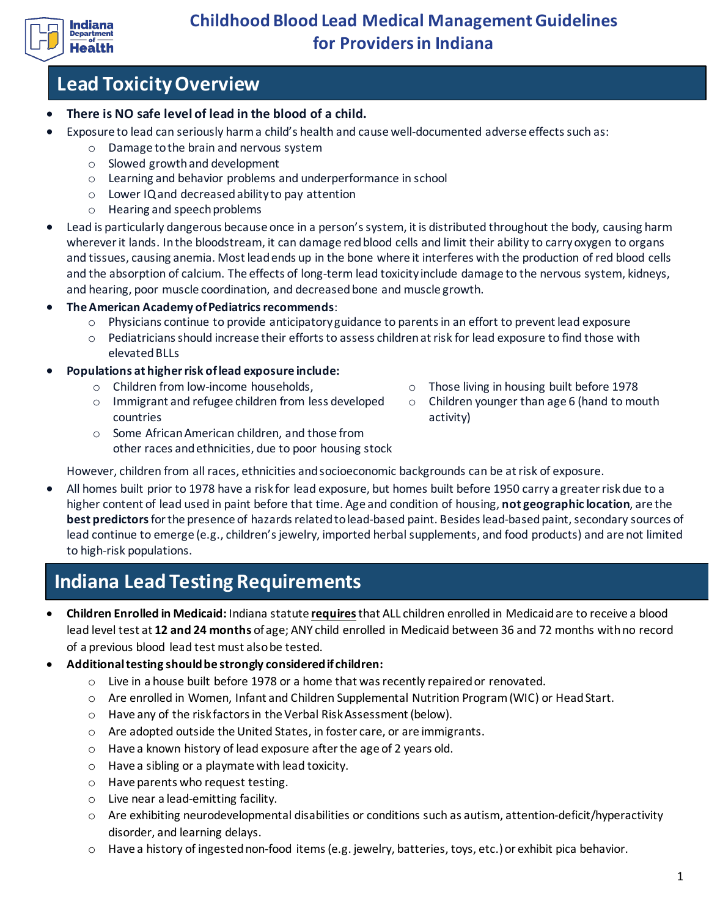

# **Lead Toxicity Overview**

- **There is NO safe level of lead in the blood of a child.**
- Exposure to lead can seriously harm a child's health and cause well-documented adverse effects such as:
	- o Damage to the brain and nervous system
	- o Slowed growth and development
	- o Learning and behavior problems and underperformance in school
	- o Lower IQ and decreased ability to pay attention
	- o Hearing and speech problems
- Lead is particularly dangerous because once in a person's system, it is distributed throughout the body, causing harm wherever it lands. In the bloodstream, it can damage red blood cells and limit their ability to carry oxygen to organs and tissues, causing anemia. Most lead ends up in the bone where it interferes with the production of red blood cells and the absorption of calcium. The effects of long-term lead toxicity include damage to the nervous system, kidneys, and hearing, poor muscle coordination, and decreased bone and muscle growth.
- **The American Academy of Pediatrics recommends**:
	- o Physicians continue to provide anticipatory guidance to parents in an effort to prevent lead exposure
	- o Pediatricians should increase their efforts to assess children at risk for lead exposure to find those with elevated BLLs
- **Populations at higher risk of lead exposure include:** 
	-
	- o Immigrant and refugee children from less developed countries
	- $\circ$  Children from low-income households,  $\circ$  Those living in housing built before 1978
		- o Children younger than age 6 (hand to mouth activity)
	- o Some African American children, and those from other races and ethnicities, due to poor housing stock

However, children from all races, ethnicities and socioeconomic backgrounds can be at risk of exposure.

• All homes built prior to 1978 have a risk for lead exposure, but homes built before 1950 carry a greater risk due to a higher content of lead used in paint before that time. Age and condition of housing, **not geographic location**, are the **best predictors**for the presence of hazards related to lead-based paint. Besides lead-based paint, secondary sources of lead continue to emerge (e.g., children's jewelry, imported herbal supplements, and food products) and are not limited to high-risk populations.

# **Indiana Lead Testing Requirements**

- **Children Enrolled in Medicaid:** Indiana statute **requires**that ALL children enrolled in Medicaid are to receive a blood lead level test at **12 and 24 months** of age; ANY child enrolled in Medicaid between 36 and 72 months with no record of a previous blood lead test must also be tested.
- **Additional testing should be strongly considered if children:**
	- $\circ$  Live in a house built before 1978 or a home that was recently repaired or renovated.
	- o Are enrolled in Women, Infant and Children Supplemental Nutrition Program (WIC) or Head Start.
	- o Have any of the risk factors in the Verbal Risk Assessment (below).
	- o Are adopted outside the United States, in foster care, or are immigrants.
	- o Have a known history of lead exposure after the age of 2 years old.
	- o Have a sibling or a playmate with lead toxicity.
	- o Have parents who request testing.
	- o Live near a lead-emitting facility.
	- o Are exhibiting neurodevelopmental disabilities or conditions such as autism, attention-deficit/hyperactivity disorder, and learning delays.
	- $\circ$  Have a history of ingested non-food items (e.g. jewelry, batteries, toys, etc.) or exhibit pica behavior.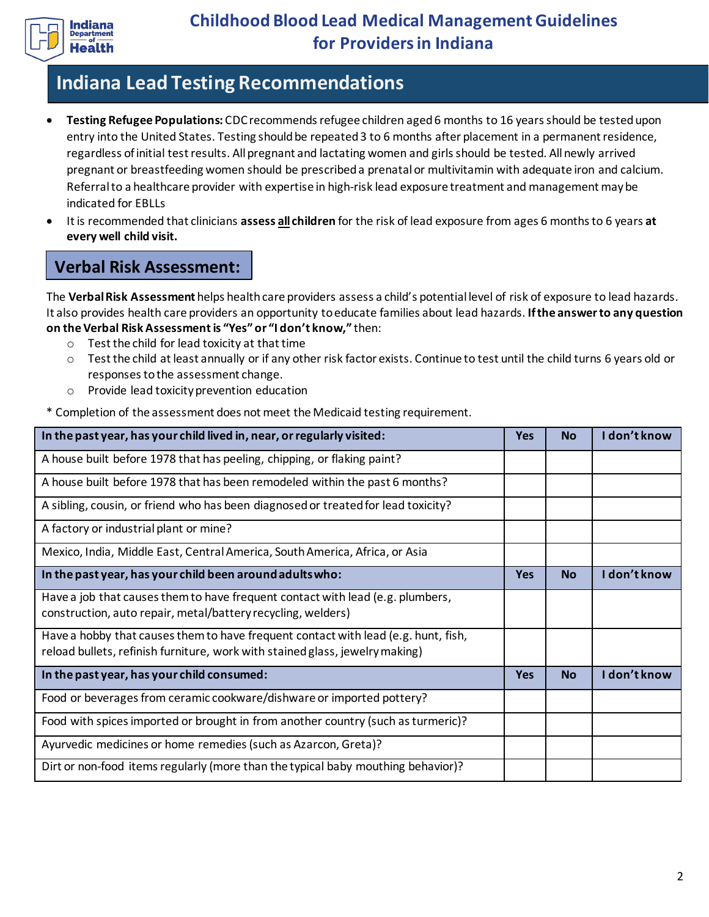

# **Indiana Lead Testing Recommendations**

- **Testing Refugee Populations:** CDC recommendsrefugee children aged 6 months to 16 years should be tested upon entry into the United States. Testing should be repeated 3 to 6 months after placement in a permanent residence, regardless of initial test results. All pregnant and lactating women and girls should be tested. All newly arrived pregnant or breastfeeding women should be prescribed a prenatal or multivitamin with adequate iron and calcium. Referral to a healthcare provider with expertise in high-risk lead exposure treatment and management may be indicated for EBLLs
- It is recommended that clinicians **assess all children** for the risk of lead exposure from ages 6 months to 6 years **at every well child visit.**

### **Verbal Risk Assessment:**

The **Verbal Risk Assessment** helps health care providers assess a child's potential level of risk of exposure to lead hazards. It also provides health care providers an opportunity to educate families about lead hazards. **If the answer to any question on the Verbal Risk Assessment is "Yes" or "I don't know,"** then:

- o Test the child for lead toxicity at that time
- o Test the child at least annually or if any other risk factor exists. Continue to test until the child turns 6 years old or responses to the assessment change.
- o Provide lead toxicity prevention education

\* Completion of the assessment does not meet the Medicaid testing requirement.

| In the past year, has your child lived in, near, or regularly visited:                                                                                             | <b>Yes</b> | <b>No</b> | I don't know |
|--------------------------------------------------------------------------------------------------------------------------------------------------------------------|------------|-----------|--------------|
| A house built before 1978 that has peeling, chipping, or flaking paint?                                                                                            |            |           |              |
| A house built before 1978 that has been remodeled within the past 6 months?                                                                                        |            |           |              |
| A sibling, cousin, or friend who has been diagnosed or treated for lead toxicity?                                                                                  |            |           |              |
| A factory or industrial plant or mine?                                                                                                                             |            |           |              |
| Mexico, India, Middle East, Central America, South America, Africa, or Asia                                                                                        |            |           |              |
| In the past year, has your child been around adults who:                                                                                                           | <b>Yes</b> | <b>No</b> | I don't know |
| Have a job that causes them to have frequent contact with lead (e.g. plumbers,<br>construction, auto repair, metal/battery recycling, welders)                     |            |           |              |
| Have a hobby that causes them to have frequent contact with lead (e.g. hunt, fish,<br>reload bullets, refinish furniture, work with stained glass, jewelry making) |            |           |              |
| In the past year, has your child consumed:                                                                                                                         | <b>Yes</b> | <b>No</b> | I don't know |
| Food or beverages from ceramic cookware/dishware or imported pottery?                                                                                              |            |           |              |
| Food with spices imported or brought in from another country (such as turmeric)?                                                                                   |            |           |              |
| Ayurvedic medicines or home remedies (such as Azarcon, Greta)?                                                                                                     |            |           |              |
| Dirt or non-food items regularly (more than the typical baby mouthing behavior)?                                                                                   |            |           |              |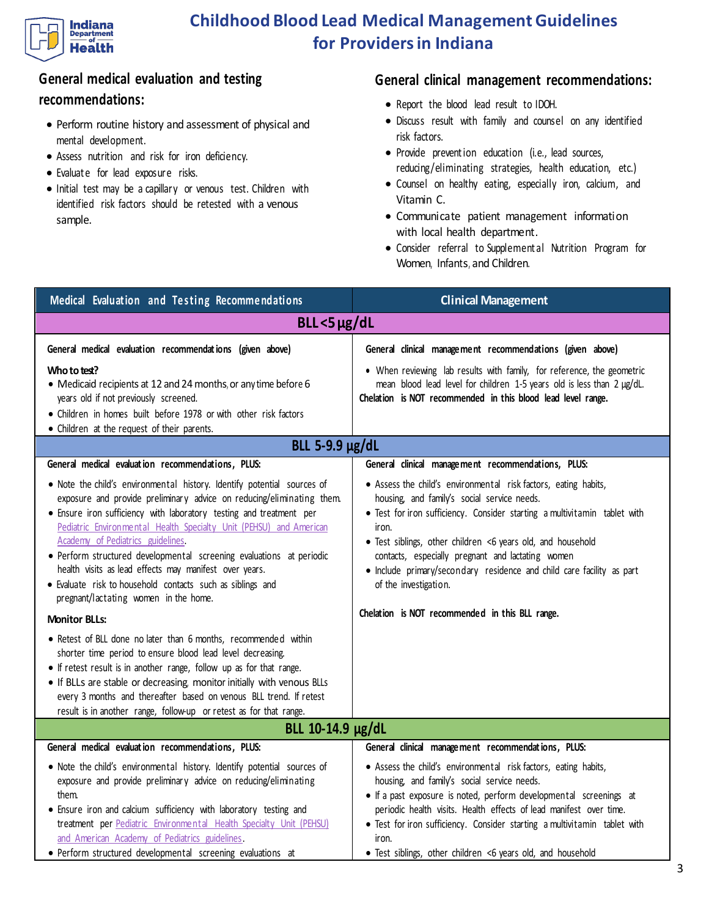

### **General medical evaluation and testing recommendations:**

- Perform routine history and assessment of physical and mental development.
- Assess nutrition and risk for iron deficiency.
- Evaluate for lead exposure risks.
- Initial test may be a capillary or venous test. Children with identified risk factors should be retested with a venous sample.

### **General clinical management recommendations:**

- Report the blood lead result to IDOH.
- Discuss result with family and counsel on any identified risk factors.
- Provide prevention education (i.e., lead sources, reducing/eliminating strategies, health education, etc.)
- Counsel on healthy eating, especially iron, calcium, and Vitamin C.
- Communicate patient management information with local health department.
- Consider referral to Supplemental Nutrition Program for Women, Infants, and Children.

| Medical Evaluation and Testing Recommendations                                                                                                                                                                                                                                                                                                                                                                                                                                                                                                                                                             | <b>Clinical Management</b>                                                                                                                                                                                                                                                                                                                                                                                                                                                                                                         |  |  |  |
|------------------------------------------------------------------------------------------------------------------------------------------------------------------------------------------------------------------------------------------------------------------------------------------------------------------------------------------------------------------------------------------------------------------------------------------------------------------------------------------------------------------------------------------------------------------------------------------------------------|------------------------------------------------------------------------------------------------------------------------------------------------------------------------------------------------------------------------------------------------------------------------------------------------------------------------------------------------------------------------------------------------------------------------------------------------------------------------------------------------------------------------------------|--|--|--|
| $BLL < 5 \mu g/dL$                                                                                                                                                                                                                                                                                                                                                                                                                                                                                                                                                                                         |                                                                                                                                                                                                                                                                                                                                                                                                                                                                                                                                    |  |  |  |
| General medical evaluation recommendations (given above)<br>Who to test?<br>• Medicaid recipients at 12 and 24 months, or any time before 6<br>years old if not previously screened.<br>• Children in homes built before 1978 or with other risk factors<br>• Children at the request of their parents.<br>BLL 5-9.9 µg/dL<br>General medical evaluation recommendations, PLUS:<br>. Note the child's environmental history. Identify potential sources of<br>exposure and provide preliminary advice on reducing/eliminating them.<br>• Ensure iron sufficiency with laboratory testing and treatment per | General clinical management recommendations (given above)<br>• When reviewing lab results with family, for reference, the geometric<br>mean blood lead level for children 1-5 years old is less than 2 µg/dL.<br>Chelation is NOT recommended in this blood lead level range.<br>General clinical management recommendations, PLUS:<br>• Assess the child's environmental risk factors, eating habits,<br>housing, and family's social service needs.<br>• Test for iron sufficiency. Consider starting a multivitamin tablet with |  |  |  |
| Pediatric Environmental Health Specialty Unit (PEHSU) and American<br>Academy of Pediatrics guidelines<br>• Perform structured developmental screening evaluations at periodic<br>health visits as lead effects may manifest over years.<br>· Evaluate risk to household contacts such as siblings and<br>pregnant/lactating women in the home.                                                                                                                                                                                                                                                            | iron.<br>• Test siblings, other children <6 years old, and household<br>contacts, especially pregnant and lactating women<br>· Include primary/secondary residence and child care facility as part<br>of the investigation.                                                                                                                                                                                                                                                                                                        |  |  |  |
| <b>Monitor BLLs:</b><br>• Retest of BLL done no later than 6 months, recommended within<br>shorter time period to ensure blood lead level decreasing.<br>• If retest result is in another range, follow up as for that range.<br>. If BLLs are stable or decreasing, monitor initially with venous BLLs<br>every 3 months and thereafter based on venous BLL trend. If retest<br>result is in another range, follow-up or retest as for that range.                                                                                                                                                        | Chelation is NOT recommended in this BLL range.                                                                                                                                                                                                                                                                                                                                                                                                                                                                                    |  |  |  |
| General medical evaluation recommendations, PLUS:                                                                                                                                                                                                                                                                                                                                                                                                                                                                                                                                                          | BLL 10-14.9 µg/dL<br>General clinical management recommendations, PLUS:                                                                                                                                                                                                                                                                                                                                                                                                                                                            |  |  |  |
| . Note the child's environmental history. Identify potential sources of<br>exposure and provide preliminary advice on reducing/eliminating<br>them.<br>• Ensure iron and calcium sufficiency with laboratory testing and<br>treatment per Pediatric Environmental Health Specialty Unit (PEHSU)<br>and American Academy of Pediatrics guidelines<br>· Perform structured developmental screening evaluations at                                                                                                                                                                                            | • Assess the child's environmental risk factors, eating habits,<br>housing, and family's social service needs.<br>• If a past exposure is noted, perform developmental screenings at<br>periodic health visits. Health effects of lead manifest over time.<br>• Test for iron sufficiency. Consider starting a multivitamin tablet with<br>iron.<br>• Test siblings, other children <6 years old, and household                                                                                                                    |  |  |  |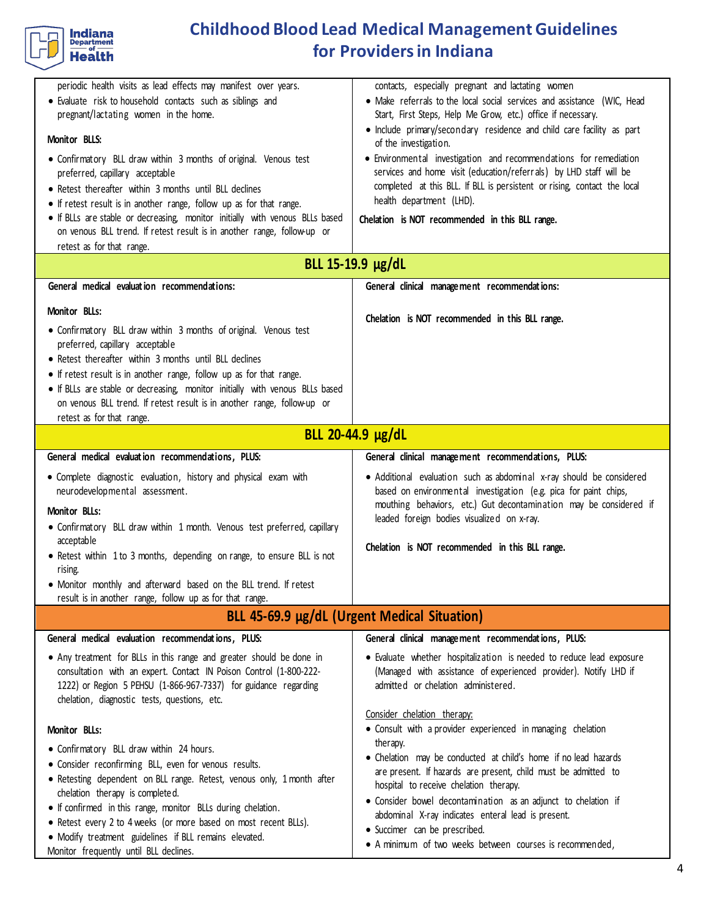

| periodic health visits as lead effects may manifest over years.<br>· Evaluate risk to household contacts such as siblings and<br>pregnant/lactating women in the home.<br>Monitor BLLS:<br>• Confirmatory BLL draw within 3 months of original. Venous test<br>preferred, capillary acceptable<br>• Retest thereafter within 3 months until BLL declines<br>• If retest result is in another range, follow up as for that range.<br>. If BLLs are stable or decreasing, monitor initially with venous BLLs based<br>on venous BLL trend. If retest result is in another range, follow-up or<br>retest as for that range. | contacts, especially pregnant and lactating women<br>• Make referrals to the local social services and assistance (WIC, Head<br>Start, First Steps, Help Me Grow, etc.) office if necessary.<br>• Include primary/secondary residence and child care facility as part<br>of the investigation.<br>• Environmental investigation and recommendations for remediation<br>services and home visit (education/referrals) by LHD staff will be<br>completed at this BLL. If BLL is persistent or rising, contact the local<br>health department (LHD).<br>Chelation is NOT recommended in this BLL range. |  |  |  |
|--------------------------------------------------------------------------------------------------------------------------------------------------------------------------------------------------------------------------------------------------------------------------------------------------------------------------------------------------------------------------------------------------------------------------------------------------------------------------------------------------------------------------------------------------------------------------------------------------------------------------|------------------------------------------------------------------------------------------------------------------------------------------------------------------------------------------------------------------------------------------------------------------------------------------------------------------------------------------------------------------------------------------------------------------------------------------------------------------------------------------------------------------------------------------------------------------------------------------------------|--|--|--|
| BLL 15-19.9 µg/dL                                                                                                                                                                                                                                                                                                                                                                                                                                                                                                                                                                                                        |                                                                                                                                                                                                                                                                                                                                                                                                                                                                                                                                                                                                      |  |  |  |
| General medical evaluation recommendations:                                                                                                                                                                                                                                                                                                                                                                                                                                                                                                                                                                              | General clinical management recommendations:                                                                                                                                                                                                                                                                                                                                                                                                                                                                                                                                                         |  |  |  |
| Monitor BLLs:<br>• Confirmatory BLL draw within 3 months of original. Venous test<br>preferred, capillary acceptable<br>• Retest thereafter within 3 months until BLL declines<br>• If retest result is in another range, follow up as for that range.<br>. If BLLs are stable or decreasing, monitor initially with venous BLLs based<br>on venous BLL trend. If retest result is in another range, follow-up or<br>retest as for that range.                                                                                                                                                                           | Chelation is NOT recommended in this BLL range.                                                                                                                                                                                                                                                                                                                                                                                                                                                                                                                                                      |  |  |  |
| BLL 20-44.9 µg/dL                                                                                                                                                                                                                                                                                                                                                                                                                                                                                                                                                                                                        |                                                                                                                                                                                                                                                                                                                                                                                                                                                                                                                                                                                                      |  |  |  |
| General medical evaluation recommendations, PLUS:                                                                                                                                                                                                                                                                                                                                                                                                                                                                                                                                                                        | General clinical management recommendations, PLUS:                                                                                                                                                                                                                                                                                                                                                                                                                                                                                                                                                   |  |  |  |
| • Complete diagnostic evaluation, history and physical exam with<br>neurodevelopmental assessment.<br><b>Monitor BLLs:</b><br>• Confirmatory BLL draw within 1 month. Venous test preferred, capillary<br>acceptable<br>• Retest within 1 to 3 months, depending on range, to ensure BLL is not<br>rising.<br>• Monitor monthly and afterward based on the BLL trend. If retest<br>result is in another range, follow up as for that range.                                                                                                                                                                              | • Additional evaluation such as abdominal x-ray should be considered<br>based on environmental investigation (e.g. pica for paint chips,<br>mouthing behaviors, etc.) Gut decontamination may be considered if<br>leaded foreign bodies visualized on x-ray.<br>Chelation is NOT recommended in this BLL range.                                                                                                                                                                                                                                                                                      |  |  |  |
| BLL 45-69.9 µg/dL (Urgent Medical Situation)                                                                                                                                                                                                                                                                                                                                                                                                                                                                                                                                                                             |                                                                                                                                                                                                                                                                                                                                                                                                                                                                                                                                                                                                      |  |  |  |
| General medical evaluation recommendations, PLUS:                                                                                                                                                                                                                                                                                                                                                                                                                                                                                                                                                                        | General clinical management recommendations, PLUS:                                                                                                                                                                                                                                                                                                                                                                                                                                                                                                                                                   |  |  |  |
| • Any treatment for BLLs in this range and greater should be done in<br>consultation with an expert. Contact IN Poison Control (1-800-222-<br>1222) or Region 5 PEHSU (1-866-967-7337) for guidance regarding<br>chelation, diagnostic tests, questions, etc.                                                                                                                                                                                                                                                                                                                                                            | • Evaluate whether hospitalization is needed to reduce lead exposure<br>(Managed with assistance of experienced provider). Notify LHD if<br>admitted or chelation administered.                                                                                                                                                                                                                                                                                                                                                                                                                      |  |  |  |
| Monitor BLLs:<br>• Confirmatory BLL draw within 24 hours.<br>• Consider reconfirming BLL, even for venous results.<br>• Retesting dependent on BLL range. Retest, venous only, 1 month after<br>chelation therapy is completed.<br>• If confirmed in this range, monitor BLLs during chelation.<br>• Retest every 2 to 4 weeks (or more based on most recent BLLs).<br>• Modify treatment guidelines if BLL remains elevated.<br>Monitor frequently until BLL declines.                                                                                                                                                  | Consider chelation therapy:<br>• Consult with a provider experienced in managing chelation<br>therapy.<br>• Chelation may be conducted at child's home if no lead hazards<br>are present. If hazards are present, child must be admitted to<br>hospital to receive chelation therapy.<br>• Consider bowel decontamination as an adjunct to chelation if<br>abdominal X-ray indicates enteral lead is present.<br>· Succimer can be prescribed.<br>• A minimum of two weeks between courses is recommended,                                                                                           |  |  |  |